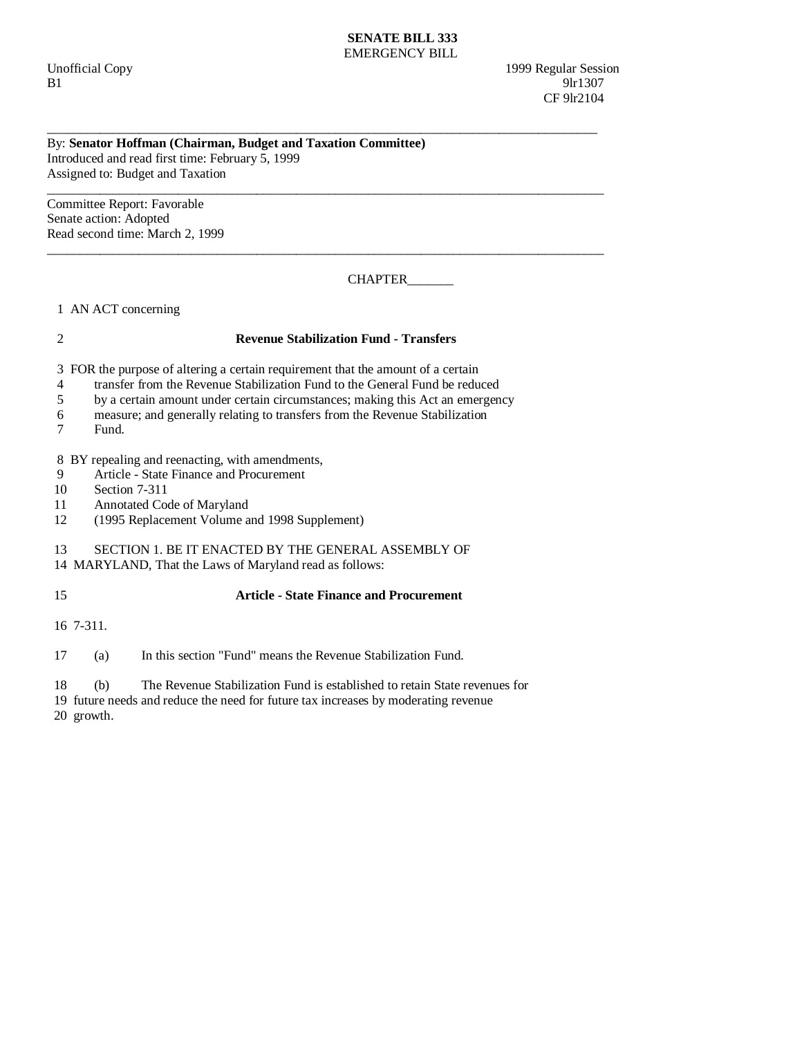#### **SENATE BILL 333**  EMERGENCY BILL

Unofficial Copy 1999 Regular Session B1 9lr1307 **CF** 9lr2104

### By: **Senator Hoffman (Chairman, Budget and Taxation Committee)**  Introduced and read first time: February 5, 1999 Assigned to: Budget and Taxation

Committee Report: Favorable Senate action: Adopted Read second time: March 2, 1999

CHAPTER\_\_\_\_\_\_\_

1 AN ACT concerning

# 2 **Revenue Stabilization Fund - Transfers**

\_\_\_\_\_\_\_\_\_\_\_\_\_\_\_\_\_\_\_\_\_\_\_\_\_\_\_\_\_\_\_\_\_\_\_\_\_\_\_\_\_\_\_\_\_\_\_\_\_\_\_\_\_\_\_\_\_\_\_\_\_\_\_\_\_\_\_\_\_\_\_\_\_\_\_\_\_\_\_\_\_\_\_\_

\_\_\_\_\_\_\_\_\_\_\_\_\_\_\_\_\_\_\_\_\_\_\_\_\_\_\_\_\_\_\_\_\_\_\_\_\_\_\_\_\_\_\_\_\_\_\_\_\_\_\_\_\_\_\_\_\_\_\_\_\_\_\_\_\_\_\_\_\_\_\_\_\_\_\_\_\_\_\_\_\_\_\_\_\_

\_\_\_\_\_\_\_\_\_\_\_\_\_\_\_\_\_\_\_\_\_\_\_\_\_\_\_\_\_\_\_\_\_\_\_\_\_\_\_\_\_\_\_\_\_\_\_\_\_\_\_\_\_\_\_\_\_\_\_\_\_\_\_\_\_\_\_\_\_\_\_\_\_\_\_\_\_\_\_\_\_\_\_\_\_

3 FOR the purpose of altering a certain requirement that the amount of a certain

- 4 transfer from the Revenue Stabilization Fund to the General Fund be reduced
- 5 by a certain amount under certain circumstances; making this Act an emergency
- 6 measure; and generally relating to transfers from the Revenue Stabilization
- 7 Fund.

8 BY repealing and reenacting, with amendments,

- 9 Article State Finance and Procurement<br>10 Section 7-311
- Section 7-311
- 11 Annotated Code of Maryland
- 12 (1995 Replacement Volume and 1998 Supplement)

## 13 SECTION 1. BE IT ENACTED BY THE GENERAL ASSEMBLY OF

14 MARYLAND, That the Laws of Maryland read as follows:

## 15 **Article - State Finance and Procurement**

16 7-311.

17 (a) In this section "Fund" means the Revenue Stabilization Fund.

18 (b) The Revenue Stabilization Fund is established to retain State revenues for

19 future needs and reduce the need for future tax increases by moderating revenue

20 growth.